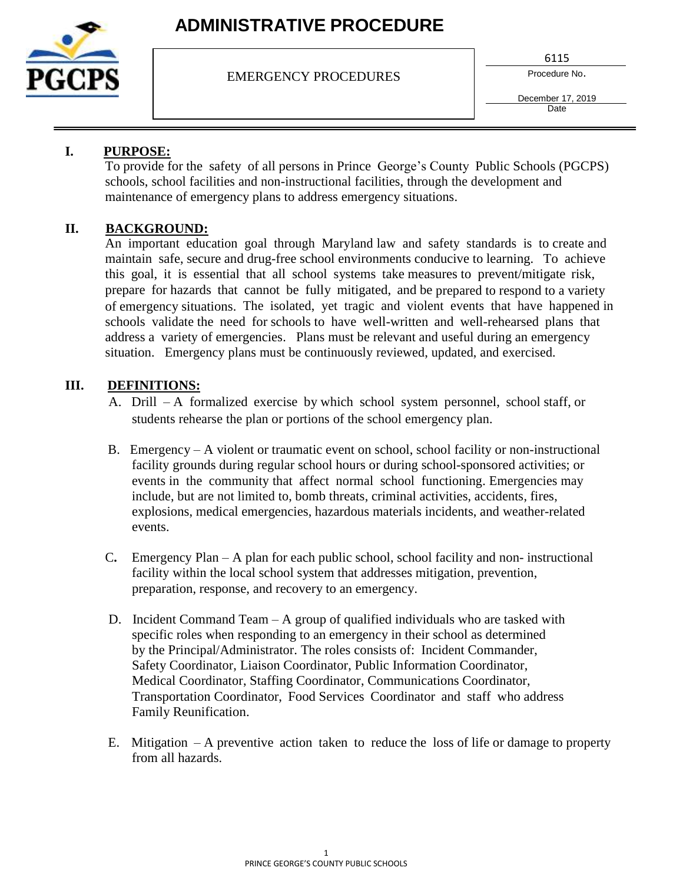

# **ADMINISTRATIVE PROCEDURE**

EMERGENCY PROCEDURES

6115

Procedure No.

December 17, 2019 **Date** 

## **I. PURPOSE:**

To provide for the safety of all persons in Prince George's County Public Schools (PGCPS) schools, school facilities and non-instructional facilities, through the development and maintenance of emergency plans to address emergency situations.

## **II. BACKGROUND:**

An important education goal through Maryland law and safety standards is to create and maintain safe, secure and drug-free school environments conducive to learning. To achieve this goal, it is essential that all school systems take measures to prevent/mitigate risk, prepare for hazards that cannot be fully mitigated, and be prepared to respond to a variety of emergency situations. The isolated, yet tragic and violent events that have happened in schools validate the need for schools to have well-written and well-rehearsed plans that address a variety of emergencies. Plans must be relevant and useful during an emergency situation. Emergency plans must be continuously reviewed, updated, and exercised.

### **III. DEFINITIONS:**

- A. Drill A formalized exercise by which school system personnel, school staff, or students rehearse the plan or portions of the school emergency plan.
- B. Emergency A violent or traumatic event on school, school facility or non-instructional facility grounds during regular school hours or during school-sponsored activities; or events in the community that affect normal school functioning. Emergencies may include, but are not limited to, bomb threats, criminal activities, accidents, fires, explosions, medical emergencies, hazardous materials incidents, and weather-related events.
- C**.** Emergency Plan A plan for each public school, school facility and non- instructional facility within the local school system that addresses mitigation, prevention, preparation, response, and recovery to an emergency.
- D. Incident Command Team A group of qualified individuals who are tasked with specific roles when responding to an emergency in their school as determined by the Principal/Administrator. The roles consists of: Incident Commander, Safety Coordinator, Liaison Coordinator, Public Information Coordinator, Medical Coordinator, Staffing Coordinator, Communications Coordinator, Transportation Coordinator, Food Services Coordinator and staff who address Family Reunification.
- E. Mitigation A preventive action taken to reduce the loss of life or damage to property from all hazards.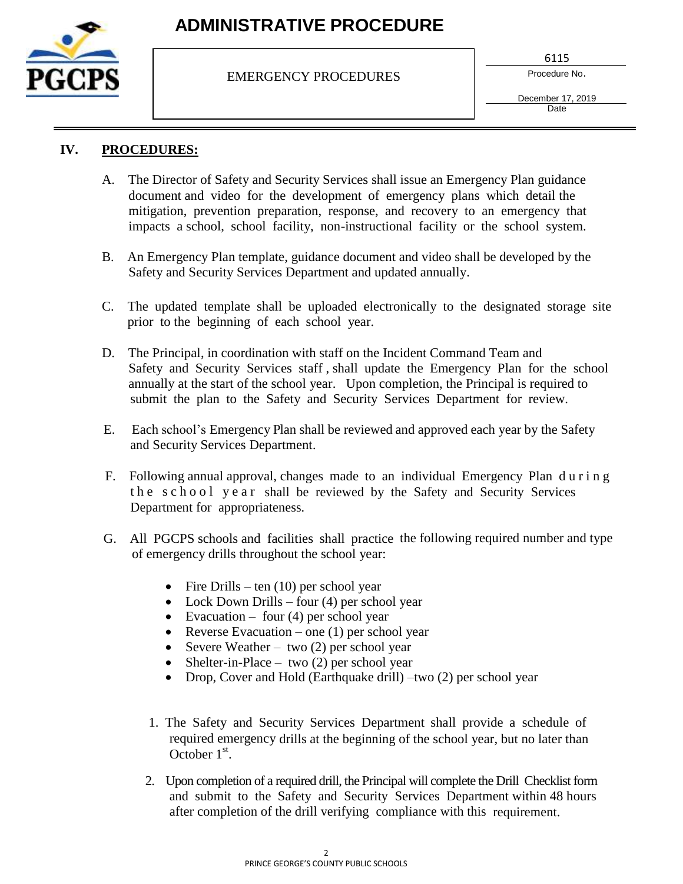

# **ADMINISTRATIVE PROCEDURE**

EMERGENCY PROCEDURES

6115

Procedure No.

December 17, 2019 **Date** 

## **IV. PROCEDURES:**

- A. The Director of Safety and Security Services shall issue an Emergency Plan guidance document and video for the development of emergency plans which detail the mitigation, prevention preparation, response, and recovery to an emergency that impacts a school, school facility, non-instructional facility or the school system.
- B. An Emergency Plan template, guidance document and video shall be developed by the Safety and Security Services Department and updated annually.
- C. The updated template shall be uploaded electronically to the designated storage site prior to the beginning of each school year.
- D. The Principal, in coordination with staff on the Incident Command Team and Safety and Security Services staff , shall update the Emergency Plan for the school annually at the start of the school year. Upon completion, the Principal is required to submit the plan to the Safety and Security Services Department for review.
- E. Each school's Emergency Plan shall be reviewed and approved each year by the Safety and Security Services Department.
- F. Following annual approval, changes made to an individual Emergency Plan d u r i n g the school year shall be reviewed by the Safety and Security Services Department for appropriateness.
- G. All PGCPS schools and facilities shall practice the following required number and type of emergency drills throughout the school year:
	- Fire Drills ten  $(10)$  per school year
	- Lock Down Drills four (4) per school year
	- Evacuation four  $(4)$  per school year
	- Reverse Evacuation one  $(1)$  per school year
	- Severe Weather two  $(2)$  per school year
	- Shelter-in-Place two (2) per school year
	- Drop, Cover and Hold (Earthquake drill) –two (2) per school year
	- 1. The Safety and Security Services Department shall provide a schedule of required emergency drills at the beginning of the school year, but no later than October  $1<sup>st</sup>$ .
	- 2. Upon completion of a required drill, the Principal will complete the Drill Checklist form and submit to the Safety and Security Services Department within 48 hours after completion of the drill verifying compliance with this requirement.